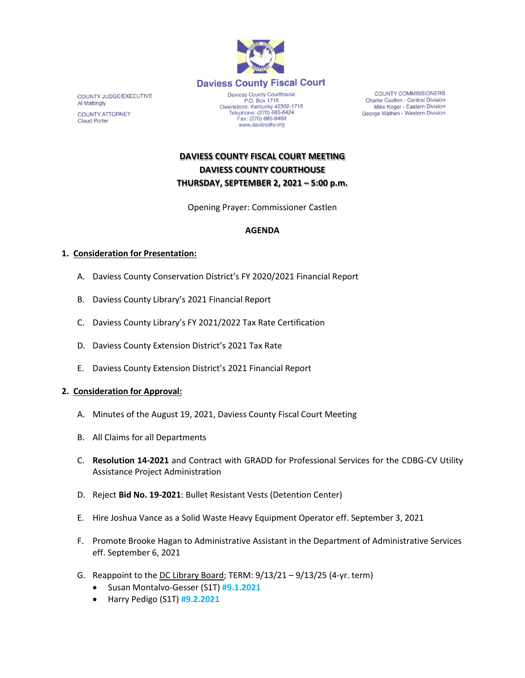

COUNTY JUDGE/EXECUTIVE Al Mattingly **COUNTY ATTORNEY Claud Porter** 

P.O. Box 1716<br>P.O. Box 1716<br>Owensboro, Kentucky 42302-1716<br>Telephone: (270) 685-8424 Fax: (270) 685-8469 www.daviessky.org

**COUNTY COMMISSIONERS** Charlie Castlen - Central Division Mike Koger - Eastern Division George Wathen - Western Division

# **DAVIESS COUNTY FISCAL COURT MEETING DAVIESS COUNTY COURTHOUSE THURSDAY, SEPTEMBER 2, 2021 – 5:00 p.m.**

Opening Prayer: Commissioner Castlen

## **AGENDA**

### **1. Consideration for Presentation:**

- A. Daviess County Conservation District's FY 2020/2021 Financial Report
- B. Daviess County Library's 2021 Financial Report
- C. Daviess County Library's FY 2021/2022 Tax Rate Certification
- D. Daviess County Extension District's 2021 Tax Rate
- E. Daviess County Extension District's 2021 Financial Report

#### **2. Consideration for Approval:**

- A. Minutes of the August 19, 2021, Daviess County Fiscal Court Meeting
- B. All Claims for all Departments
- C. **Resolution 14-2021** and Contract with GRADD for Professional Services for the CDBG-CV Utility Assistance Project Administration
- D. Reject **Bid No. 19-2021**: Bullet Resistant Vests (Detention Center)
- E. Hire Joshua Vance as a Solid Waste Heavy Equipment Operator eff. September 3, 2021
- F. Promote Brooke Hagan to Administrative Assistant in the Department of Administrative Services eff. September 6, 2021
- G. Reappoint to the DC Library Board; TERM: 9/13/21 9/13/25 (4-yr. term)
	- Susan Montalvo-Gesser (S1T) **#9.1.2021**
	- Harry Pedigo (S1T) **#9.2.2021**